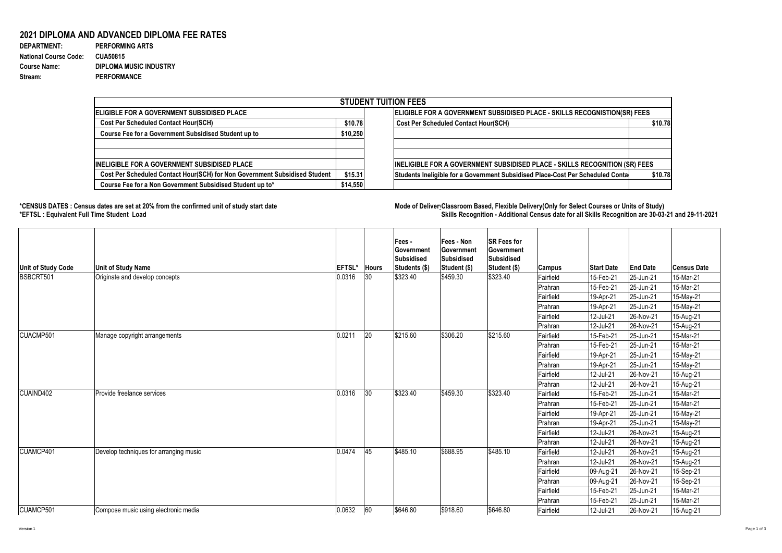## **2021 DIPLOMA AND ADVANCED DIPLOMA FEE RATES**

| <b>DEPARTMENT:</b>           | <b>PERFORMING ARTS</b>        |
|------------------------------|-------------------------------|
| <b>National Course Code:</b> | <b>CUA50815</b>               |
| <b>Course Name:</b>          | <b>DIPLOMA MUSIC INDUSTRY</b> |
| Stream:                      | <b>PERFORMANCE</b>            |

## **\*CENSUS DATES : Census dates are set at 20% from the confirmed unit of study start date Mode of Delivery:Classroom Based, Flexible Delivery(Only for Select Courses or Units of Study) \*EFTSL : Equivalent Full Time Student Load Skills Recognition - Additional Census date for all Skills Recognition are 30-03-21 and 29-11-2021**



| <b>STUDENT TUITION FEES</b>                                                |          |                                                                                            |  |  |  |  |  |  |
|----------------------------------------------------------------------------|----------|--------------------------------------------------------------------------------------------|--|--|--|--|--|--|
| <b>ELIGIBLE FOR A GOVERNMENT SUBSIDISED PLACE</b>                          |          | ELIGIBLE FOR A GOVERNMENT SUBSIDISED PLACE - SKILLS RECOGNISTION(SR) FEES                  |  |  |  |  |  |  |
| <b>Cost Per Scheduled Contact Hour(SCH)</b>                                |          | \$10.78<br><b>Cost Per Scheduled Contact Hour(SCH)</b>                                     |  |  |  |  |  |  |
| <b>Course Fee for a Government Subsidised Student up to</b>                | \$10,250 |                                                                                            |  |  |  |  |  |  |
| IINELIGIBLE FOR A GOVERNMENT SUBSIDISED PLACE                              |          | INELIGIBLE FOR A GOVERNMENT SUBSIDISED PLACE - SKILLS RECOGNITION (SR) FEES                |  |  |  |  |  |  |
| Cost Per Scheduled Contact Hour(SCH) for Non Government Subsidised Student | \$15.31  | \$10.78]<br>Students Ineligible for a Government Subsidised Place-Cost Per Scheduled Conta |  |  |  |  |  |  |
| Course Fee for a Non Government Subsidised Student up to*                  | \$14,550 |                                                                                            |  |  |  |  |  |  |

| Unit of Study Code | <b>Unit of Study Name</b>              | <b>EFTSL*</b> | Hours        | Fees -<br><b>Government</b><br>Subsidised<br>Students (\$) | Fees - Non<br><b>Government</b><br><b>Subsidised</b><br>Student (\$) | <b>SR Fees for</b><br><b>Government</b><br>Subsidised<br>Student (\$) | <b>Campus</b> | <b>Start Date</b> | <b>End Date</b> | <b>Census Date</b> |
|--------------------|----------------------------------------|---------------|--------------|------------------------------------------------------------|----------------------------------------------------------------------|-----------------------------------------------------------------------|---------------|-------------------|-----------------|--------------------|
| BSBCRT501          | Originate and develop concepts         | 0.0316        | $ 30\rangle$ | \$323.40                                                   | \$459.30                                                             | \$323.40                                                              | Fairfield     | 15-Feb-21         | $ 25 - Jun-21 $ | 15-Mar-21          |
|                    |                                        |               |              |                                                            |                                                                      |                                                                       | Prahran       | 15-Feb-21         | $ 25 - Jun-21 $ | 15-Mar-21          |
|                    |                                        |               |              |                                                            |                                                                      |                                                                       | Fairfield     | 19-Apr-21         | $ 25 - Jun-21 $ | 15-May-21          |
|                    |                                        |               |              |                                                            |                                                                      |                                                                       | Prahran       | 19-Apr-21         | 25-Jun-21       | 15-May-21          |
|                    |                                        |               |              |                                                            |                                                                      |                                                                       | Fairfield     | 12-Jul-21         | 26-Nov-21       | 15-Aug-21          |
|                    |                                        |               |              |                                                            |                                                                      |                                                                       | Prahran       | 12-Jul-21         | 26-Nov-21       | 15-Aug-21          |
| CUACMP501          | Manage copyright arrangements          | 0.0211        | 20           | \$215.60                                                   | \$306.20                                                             | \$215.60                                                              | Fairfield     | 15-Feb-21         | 25-Jun-21       | 15-Mar-21          |
|                    |                                        |               |              |                                                            |                                                                      |                                                                       | Prahran       | 15-Feb-21         | 25-Jun-21       | 15-Mar-21          |
|                    |                                        |               |              |                                                            |                                                                      |                                                                       | Fairfield     | 19-Apr-21         | 25-Jun-21       | 15-May-21          |
|                    |                                        |               |              |                                                            |                                                                      |                                                                       | Prahran       | 19-Apr-21         | 25-Jun-21       | 15-May-21          |
|                    |                                        |               |              |                                                            |                                                                      |                                                                       | Fairfield     | 12-Jul-21         | 26-Nov-21       | 15-Aug-21          |
|                    |                                        |               |              |                                                            |                                                                      |                                                                       | Prahran       | 12-Jul-21         | 26-Nov-21       | 15-Aug-21          |
| CUAIND402          | <b>Provide freelance services</b>      | 0.0316        | 30           | \$323.40                                                   | \$459.30                                                             | \$323.40                                                              | Fairfield     | 15-Feb-21         | $ 25 - Jun-21 $ | 15-Mar-21          |
|                    |                                        |               |              |                                                            |                                                                      |                                                                       | Prahran       | 15-Feb-21         | 25-Jun-21       | 15-Mar-21          |
|                    |                                        |               |              |                                                            |                                                                      |                                                                       | Fairfield     | 19-Apr-21         | 25-Jun-21       | 15-May-21          |
|                    |                                        |               |              |                                                            |                                                                      |                                                                       | Prahran       | 19-Apr-21         | $ 25 - Jun-21 $ | 15-May-21          |
|                    |                                        |               |              |                                                            |                                                                      |                                                                       | Fairfield     | 12-Jul-21         | 26-Nov-21       | 15-Aug-21          |
|                    |                                        |               |              |                                                            |                                                                      |                                                                       | Prahran       | 12-Jul-21         | 26-Nov-21       | 15-Aug-21          |
| CUAMCP401          | Develop techniques for arranging music | 0.0474        | 45           | \$485.10                                                   | \$688.95                                                             | \$485.10                                                              | Fairfield     | 12-Jul-21         | $ 26-Nov-21 $   | 15-Aug-21          |
|                    |                                        |               |              |                                                            |                                                                      |                                                                       | Prahran       | 12-Jul-21         | $ 26-Nov-21$    | 15-Aug-21          |
|                    |                                        |               |              |                                                            |                                                                      |                                                                       | Fairfield     | 09-Aug-21         | $ 26-Nov-21 $   | 15-Sep-21          |
|                    |                                        |               |              |                                                            |                                                                      |                                                                       | Prahran       | 09-Aug-21         | $ 26-Nov-21 $   | 15-Sep-21          |
|                    |                                        |               |              |                                                            |                                                                      |                                                                       | Fairfield     | 15-Feb-21         | $ 25 - Jun-21 $ | 15-Mar-21          |
|                    |                                        |               |              |                                                            |                                                                      |                                                                       | Prahran       | 15-Feb-21         | $ 25 - Jun-21 $ | 15-Mar-21          |
| CUAMCP501          | Compose music using electronic media   | 0.0632        | 60           | \$646.80                                                   | \$918.60                                                             | \$646.80                                                              | Fairfield     | $ 12$ -Jul-21     | $ 26-Nov-21 $   | 15-Aug-21          |

Version 1 Page 1 of 3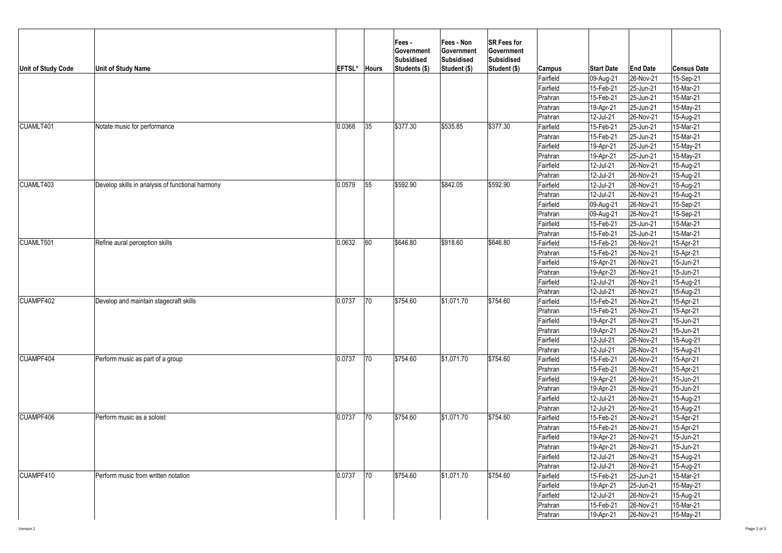|                                                                                                         | <b>Unit of Study Name</b>                        | EFTSL* | <b>Hours</b>     | <b>Fees-</b><br><b>Government</b><br>Subsidised<br>Students (\$) | <b>Fees - Non</b><br><b>Government</b><br>Subsidised<br>Student (\$) | <b>SR Fees for</b><br><b>Government</b><br>Subsidised<br>Student (\$) | <b>Campus</b> | <b>Start Date</b>                                                                                                 | <b>End Date</b>                                                                                                                                                                                                                                                         | <b>Census Date</b> |
|---------------------------------------------------------------------------------------------------------|--------------------------------------------------|--------|------------------|------------------------------------------------------------------|----------------------------------------------------------------------|-----------------------------------------------------------------------|---------------|-------------------------------------------------------------------------------------------------------------------|-------------------------------------------------------------------------------------------------------------------------------------------------------------------------------------------------------------------------------------------------------------------------|--------------------|
|                                                                                                         |                                                  |        |                  |                                                                  |                                                                      |                                                                       | Fairfield     | 09-Aug-21                                                                                                         | $ 26-Nov-21 $                                                                                                                                                                                                                                                           | 15-Sep-21          |
|                                                                                                         |                                                  |        |                  |                                                                  |                                                                      |                                                                       | Fairfield     | 15-Feb-21                                                                                                         |                                                                                                                                                                                                                                                                         | 15-Mar-21          |
|                                                                                                         |                                                  |        |                  |                                                                  |                                                                      |                                                                       | Prahran       | 15-Feb-21                                                                                                         | $ 25 - Jun-21 $                                                                                                                                                                                                                                                         | 15-Mar-21          |
|                                                                                                         |                                                  |        |                  |                                                                  |                                                                      |                                                                       | Prahran       | 19-Apr-21                                                                                                         | 25-Jun-21                                                                                                                                                                                                                                                               | 15-May-21          |
|                                                                                                         |                                                  |        |                  |                                                                  |                                                                      |                                                                       | Prahran       | 12-Jul-21                                                                                                         | $ 26-Nov-21$                                                                                                                                                                                                                                                            | 15-Aug-21          |
| CUAMLT401                                                                                               | Notate music for performance                     | 0.0368 | 35               | \$377.30                                                         | \$535.85                                                             | \$377.30                                                              | Fairfield     | 15-Feb-21                                                                                                         | 25-Jun-21                                                                                                                                                                                                                                                               | 15-Mar-21          |
|                                                                                                         |                                                  |        |                  |                                                                  |                                                                      |                                                                       | Prahran       | 15-Feb-21                                                                                                         | $ 25 - Jun-21 $                                                                                                                                                                                                                                                         | 15-Mar-21          |
|                                                                                                         |                                                  |        |                  |                                                                  |                                                                      |                                                                       | Fairfield     | 19-Apr-21                                                                                                         | $ 25 - Jun-21 $                                                                                                                                                                                                                                                         | 15-May-21          |
|                                                                                                         |                                                  |        |                  |                                                                  |                                                                      |                                                                       | Prahran       | 19-Apr-21                                                                                                         | 25-Jun-21                                                                                                                                                                                                                                                               | 15-May-21          |
|                                                                                                         |                                                  |        |                  |                                                                  |                                                                      |                                                                       | Fairfield     | 12-Jul-21                                                                                                         | 26-Nov-21                                                                                                                                                                                                                                                               | 15-Aug-21          |
|                                                                                                         |                                                  |        |                  |                                                                  |                                                                      |                                                                       | Prahran       | 12-Jul-21                                                                                                         | 26-Nov-21                                                                                                                                                                                                                                                               | 15-Aug-21          |
|                                                                                                         | Develop skills in analysis of functional harmony | 0.0579 | $\vert 55 \vert$ | \$592.90                                                         | \$842.05                                                             | \$592.90                                                              | Fairfield     | 12-Jul-21                                                                                                         | 26-Nov-21                                                                                                                                                                                                                                                               | 15-Aug-21          |
|                                                                                                         |                                                  |        |                  |                                                                  |                                                                      |                                                                       | Prahran       | 12-Jul-21                                                                                                         | 26-Nov-21                                                                                                                                                                                                                                                               | 15-Aug-21          |
|                                                                                                         |                                                  |        |                  |                                                                  |                                                                      |                                                                       | Fairfield     |                                                                                                                   | 26-Nov-21                                                                                                                                                                                                                                                               | 15-Sep-21          |
|                                                                                                         |                                                  |        |                  |                                                                  |                                                                      |                                                                       | Prahran       | 09-Aug-21                                                                                                         | 26-Nov-21                                                                                                                                                                                                                                                               | 15-Sep-21          |
|                                                                                                         |                                                  |        |                  |                                                                  |                                                                      |                                                                       | Fairfield     | 15-Feb-21                                                                                                         | 25-Jun-21                                                                                                                                                                                                                                                               | 15-Mar-21          |
|                                                                                                         |                                                  |        |                  |                                                                  |                                                                      |                                                                       | Prahran       | 15-Feb-21                                                                                                         | 25-Jun-21                                                                                                                                                                                                                                                               | 15-Mar-21          |
|                                                                                                         | Refine aural perception skills                   | 0.0632 | 60               | \$646.80                                                         | \$918.60                                                             | \$646.80                                                              | Fairfield     | 15-Feb-21                                                                                                         | 26-Nov-21                                                                                                                                                                                                                                                               | 15-Apr-21          |
| Unit of Study Code<br>CUAMLT403<br>CUAMLT501<br>CUAMPF402<br><b>CUAMPF404</b><br>CUAMPF406<br>CUAMPF410 |                                                  |        |                  |                                                                  |                                                                      |                                                                       | Prahran       | 15-Feb-21                                                                                                         | 26-Nov-21                                                                                                                                                                                                                                                               | 15-Apr-21          |
|                                                                                                         |                                                  |        |                  |                                                                  |                                                                      |                                                                       | Fairfield     | 19-Apr-21                                                                                                         | $ 26-Nov-21 $                                                                                                                                                                                                                                                           | 15-Jun-21          |
|                                                                                                         |                                                  |        |                  |                                                                  |                                                                      |                                                                       | Prahran       | 19-Apr-21                                                                                                         | $ 26-Nov-21 $                                                                                                                                                                                                                                                           | 15-Jun-21          |
|                                                                                                         |                                                  |        |                  |                                                                  |                                                                      |                                                                       | Fairfield     | 12-Jul-21                                                                                                         | 26-Nov-21                                                                                                                                                                                                                                                               | 15-Aug-21          |
|                                                                                                         |                                                  |        |                  |                                                                  |                                                                      |                                                                       | Prahran       | 12-Jul-21                                                                                                         | 26-Nov-21                                                                                                                                                                                                                                                               | 15-Aug-21          |
|                                                                                                         | Develop and maintain stagecraft skills           | 0.0737 | 70               | \$754.60                                                         | \$1,071.70                                                           | \$754.60                                                              | Fairfield     | 15-Feb-21                                                                                                         | $ 26-Nov-21$                                                                                                                                                                                                                                                            | 15-Apr-21          |
|                                                                                                         |                                                  |        |                  |                                                                  |                                                                      |                                                                       | Prahran       | 15-Feb-21                                                                                                         | $ 26-Nov-21 $                                                                                                                                                                                                                                                           | 15-Apr-21          |
|                                                                                                         |                                                  |        |                  |                                                                  |                                                                      |                                                                       | Fairfield     | 19-Apr-21                                                                                                         | $ 26-Nov-21$                                                                                                                                                                                                                                                            | 15-Jun-21          |
|                                                                                                         |                                                  |        |                  |                                                                  |                                                                      |                                                                       | Prahran       | 19-Apr-21                                                                                                         | 26-Nov-21                                                                                                                                                                                                                                                               | 15-Jun-21          |
|                                                                                                         |                                                  |        |                  |                                                                  |                                                                      |                                                                       | Fairfield     | 12-Jul-21                                                                                                         | $ 26-Nov-21 $                                                                                                                                                                                                                                                           | 15-Aug-21          |
|                                                                                                         |                                                  |        |                  |                                                                  |                                                                      |                                                                       | Prahran       | 12-Jul-21                                                                                                         | $ 26-Nov-21 $                                                                                                                                                                                                                                                           | 15-Aug-21          |
|                                                                                                         | Perform music as part of a group                 | 0.0737 | 70               | \$754.60                                                         | \$1,071.70                                                           | \$754.60                                                              | Fairfield     | 15-Feb-21                                                                                                         | 26-Nov-21                                                                                                                                                                                                                                                               | 15-Apr-21          |
|                                                                                                         |                                                  |        |                  |                                                                  |                                                                      |                                                                       | Prahran       | 15-Feb-21                                                                                                         | 25-Jun-21<br>26-Nov-21<br>26-Nov-21<br>26-Nov-21<br>26-Nov-21<br>$ 26-Nov-21 $<br>$ 26-Nov-21 $<br>$ 26-Nov-21 $<br>$ 26-Nov-21 $<br>$ 26-Nov-21 $<br>$ 26-Nov-21 $<br>$ 26-Nov-21 $<br>$ 25 - Jun-21 $<br>25-Jun-21<br>$ 26-Nov-21 $<br>$ 26-Nov-21 $<br>$ 26-Nov-21 $ | 15-Apr-21          |
|                                                                                                         |                                                  |        |                  |                                                                  |                                                                      |                                                                       | Fairfield     | 19-Apr-21                                                                                                         |                                                                                                                                                                                                                                                                         | 15-Jun-21          |
|                                                                                                         |                                                  |        |                  |                                                                  |                                                                      |                                                                       | Prahran       | 19-Apr-21                                                                                                         |                                                                                                                                                                                                                                                                         | 15-Jun-21          |
|                                                                                                         |                                                  |        |                  |                                                                  |                                                                      |                                                                       | Fairfield     | 12-Jul-21                                                                                                         |                                                                                                                                                                                                                                                                         | 15-Aug-21          |
|                                                                                                         |                                                  |        |                  |                                                                  |                                                                      |                                                                       | Prahran       | 12-Jul-21                                                                                                         |                                                                                                                                                                                                                                                                         | 15-Aug-21          |
|                                                                                                         | Perform music as a soloist                       | 0.0737 | 70               | \$754.60                                                         | \$1,071.70                                                           | \$754.60                                                              | Fairfield     | 15-Feb-21                                                                                                         |                                                                                                                                                                                                                                                                         | 15-Apr-21          |
|                                                                                                         |                                                  |        |                  |                                                                  |                                                                      |                                                                       | Prahran       | 09-Aug-21<br>15-Feb-21<br>19-Apr-21<br>19-Apr-21<br>12-Jul-21<br>12-Jul-21<br>15-Feb-21<br>19-Apr-21<br>12-Jul-21 | 15-Apr-21                                                                                                                                                                                                                                                               |                    |
|                                                                                                         |                                                  |        |                  |                                                                  |                                                                      |                                                                       | Fairfield     |                                                                                                                   |                                                                                                                                                                                                                                                                         | 15-Jun-21          |
|                                                                                                         |                                                  |        |                  |                                                                  |                                                                      |                                                                       | Prahran       |                                                                                                                   |                                                                                                                                                                                                                                                                         | 15-Jun-21          |
|                                                                                                         |                                                  |        |                  |                                                                  |                                                                      |                                                                       | Fairfield     |                                                                                                                   |                                                                                                                                                                                                                                                                         | 15-Aug-21          |
|                                                                                                         |                                                  |        |                  |                                                                  |                                                                      |                                                                       | Prahran       |                                                                                                                   |                                                                                                                                                                                                                                                                         | 15-Aug-21          |
|                                                                                                         | Perform music from written notation              | 0.0737 | $ 70\rangle$     | \$754.60                                                         | \$1,071.70                                                           | \$754.60                                                              | Fairfield     |                                                                                                                   |                                                                                                                                                                                                                                                                         | 15-Mar-21          |
|                                                                                                         |                                                  |        |                  |                                                                  |                                                                      |                                                                       | Fairfield     |                                                                                                                   |                                                                                                                                                                                                                                                                         | 15-May-21          |
|                                                                                                         |                                                  |        |                  |                                                                  |                                                                      |                                                                       | Fairfield     |                                                                                                                   |                                                                                                                                                                                                                                                                         | 15-Aug-21          |
|                                                                                                         |                                                  |        |                  |                                                                  |                                                                      |                                                                       | Prahran       | 15-Feb-21                                                                                                         |                                                                                                                                                                                                                                                                         | 15-Mar-21          |
|                                                                                                         |                                                  |        |                  |                                                                  |                                                                      |                                                                       | Prahran       | $ 19 - Apr - 21 $                                                                                                 |                                                                                                                                                                                                                                                                         | 15-May-21          |